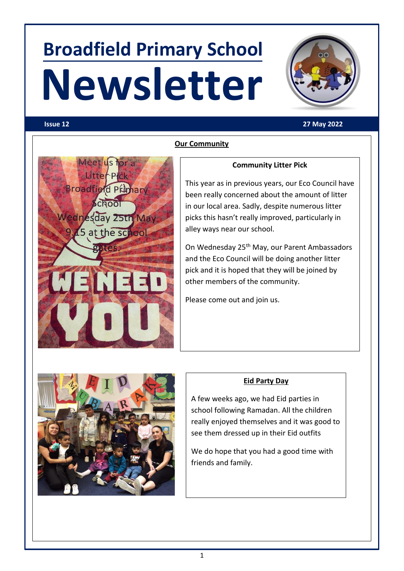## **Broadfield Primary School Newsletter**



### **Issue 12 27 May 2022**



### **Our Community**

### **Community Litter Pick**

This year as in previous years, our Eco Council have been really concerned about the amount of litter in our local area. Sadly, despite numerous litter picks this hasn't really improved, particularly in alley ways near our school.

On Wednesday 25<sup>th</sup> May, our Parent Ambassadors and the Eco Council will be doing another litter pick and it is hoped that they will be joined by other members of the community.

Please come out and join us.



### **Eid Party Day**

A few weeks ago, we had Eid parties in school following Ramadan. All the children really enjoyed themselves and it was good to see them dressed up in their Eid outfits

We do hope that you had a good time with friends and family.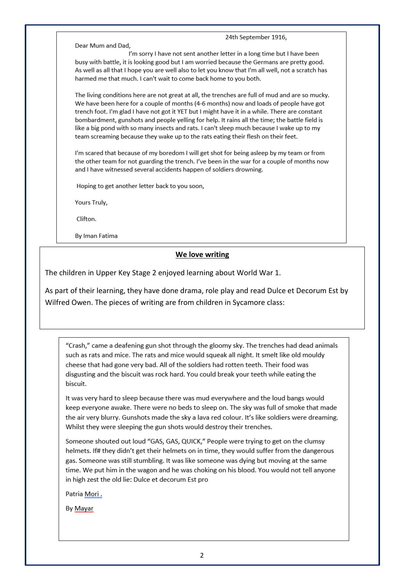Dear Mum and Dad.

I'm sorry I have not sent another letter in a long time but I have been busy with battle, it is looking good but I am worried because the Germans are pretty good. As well as all that I hope you are well also to let you know that I'm all well, not a scratch has harmed me that much. I can't wait to come back home to you both.

24th September 1916,

The living conditions here are not great at all, the trenches are full of mud and are so mucky. We have been here for a couple of months (4-6 months) now and loads of people have got trench foot. I'm glad I have not got it YET but I might have it in a while. There are constant bombardment, gunshots and people yelling for help. It rains all the time; the battle field is like a big pond with so many insects and rats. I can't sleep much because I wake up to my team screaming because they wake up to the rats eating their flesh on their feet.

I'm scared that because of my boredom I will get shot for being asleep by my team or from the other team for not guarding the trench. I've been in the war for a couple of months now and I have witnessed several accidents happen of soldiers drowning.

Hoping to get another letter back to you soon,

Yours Truly,

Clifton.

By Iman Fatima

### We love writing

The children in Upper Key Stage 2 enjoyed learning about World War 1.

As part of their learning, they have done drama, role play and read Dulce et Decorum Est by Wilfred Owen. The pieces of writing are from children in Sycamore class:

"Crash," came a deafening gun shot through the gloomy sky. The trenches had dead animals such as rats and mice. The rats and mice would squeak all night. It smelt like old mouldy cheese that had gone very bad. All of the soldiers had rotten teeth. Their food was disgusting and the biscuit was rock hard. You could break your teeth while eating the biscuit.

It was very hard to sleep because there was mud everywhere and the loud bangs would keep everyone awake. There were no beds to sleep on. The sky was full of smoke that made the air very blurry. Gunshots made the sky a lava red colour. It's like soldiers were dreaming. Whilst they were sleeping the gun shots would destroy their trenches.

Someone shouted out loud "GAS, GAS, QUICK," People were trying to get on the clumsy helmets. If# they didn't get their helmets on in time, they would suffer from the dangerous gas. Someone was still stumbling. It was like someone was dying but moving at the same time. We put him in the wagon and he was choking on his blood. You would not tell anyone in high zest the old lie: Dulce et decorum Est pro

Patria Mori.

By Mayar